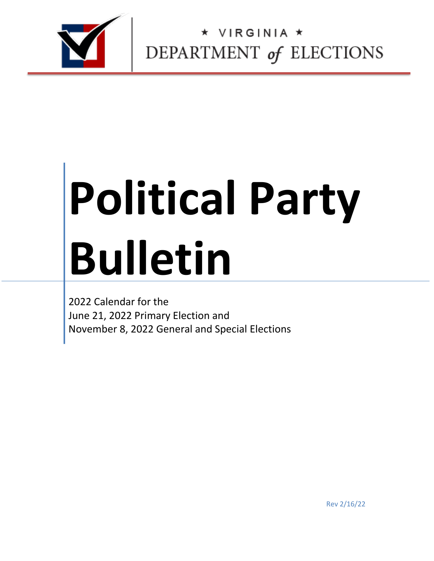

 $\begin{array}{c}\n\star \text{ virginal} \star\\ \n\text{DEPARTMENT of ELECTIONS}\n\end{array}$ 

## **Political Party Bulletin**

2022 Calendar for the June 21, 2022 Primary Election and November 8, 2022 General and Special Elections

Rev 2/16/22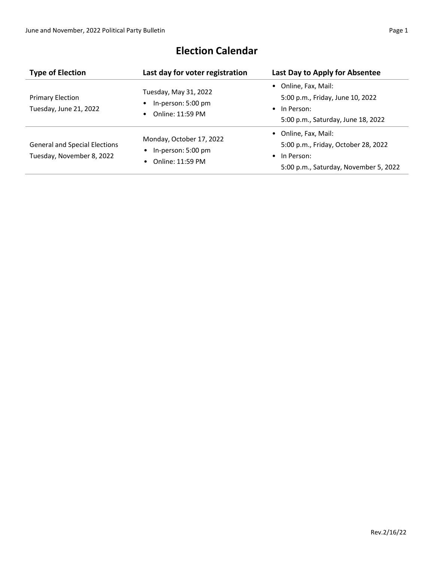| <b>Type of Election</b>                                           | Last day for voter registration                                                              | Last Day to Apply for Absentee                                                                                               |
|-------------------------------------------------------------------|----------------------------------------------------------------------------------------------|------------------------------------------------------------------------------------------------------------------------------|
| <b>Primary Election</b><br>Tuesday, June 21, 2022                 | Tuesday, May 31, 2022<br>In-person: 5:00 pm<br>Online: 11:59 PM                              | • Online, Fax, Mail:<br>5:00 p.m., Friday, June 10, 2022<br>$\bullet$ In Person:<br>5:00 p.m., Saturday, June 18, 2022       |
| <b>General and Special Elections</b><br>Tuesday, November 8, 2022 | Monday, October 17, 2022<br>In-person: 5:00 pm<br>$\bullet$<br>Online: 11:59 PM<br>$\bullet$ | • Online, Fax, Mail:<br>5:00 p.m., Friday, October 28, 2022<br>$\bullet$ In Person:<br>5:00 p.m., Saturday, November 5, 2022 |

## **Election Calendar**